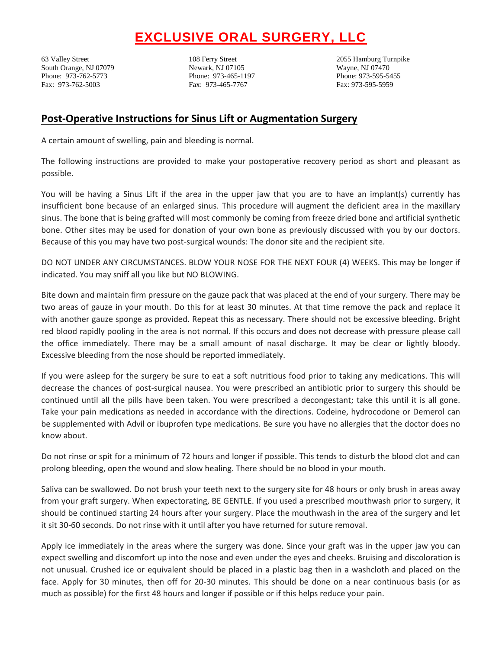## **EXCLUSIVE ORAL SURGERY, LLC**

63 Valley Street 108 Ferry Street 2055 Hamburg Turnpike South Orange, NJ 07079 Newark, NJ 07105 Wayne, NJ 07470 Phone: 973-762-5773 Phone: 973-465-1197 Phone: 973-595-5455 Fax: 973-762-5003 Fax: 973-465-7767 Fax: 973-595-5959

## **Post-Operative Instructions for Sinus Lift or Augmentation Surgery**

A certain amount of swelling, pain and bleeding is normal.

The following instructions are provided to make your postoperative recovery period as short and pleasant as possible.

You will be having a Sinus Lift if the area in the upper jaw that you are to have an implant(s) currently has insufficient bone because of an enlarged sinus. This procedure will augment the deficient area in the maxillary sinus. The bone that is being grafted will most commonly be coming from freeze dried bone and artificial synthetic bone. Other sites may be used for donation of your own bone as previously discussed with you by our doctors. Because of this you may have two post-surgical wounds: The donor site and the recipient site.

DO NOT UNDER ANY CIRCUMSTANCES. BLOW YOUR NOSE FOR THE NEXT FOUR (4) WEEKS. This may be longer if indicated. You may sniff all you like but NO BLOWING.

Bite down and maintain firm pressure on the gauze pack that was placed at the end of your surgery. There may be two areas of gauze in your mouth. Do this for at least 30 minutes. At that time remove the pack and replace it with another gauze sponge as provided. Repeat this as necessary. There should not be excessive bleeding. Bright red blood rapidly pooling in the area is not normal. If this occurs and does not decrease with pressure please call the office immediately. There may be a small amount of nasal discharge. It may be clear or lightly bloody. Excessive bleeding from the nose should be reported immediately.

If you were asleep for the surgery be sure to eat a soft nutritious food prior to taking any medications. This will decrease the chances of post-surgical nausea. You were prescribed an antibiotic prior to surgery this should be continued until all the pills have been taken. You were prescribed a decongestant; take this until it is all gone. Take your pain medications as needed in accordance with the directions. Codeine, hydrocodone or Demerol can be supplemented with Advil or ibuprofen type medications. Be sure you have no allergies that the doctor does no know about.

Do not rinse or spit for a minimum of 72 hours and longer if possible. This tends to disturb the blood clot and can prolong bleeding, open the wound and slow healing. There should be no blood in your mouth.

Saliva can be swallowed. Do not brush your teeth next to the surgery site for 48 hours or only brush in areas away from your graft surgery. When expectorating, BE GENTLE. If you used a prescribed mouthwash prior to surgery, it should be continued starting 24 hours after your surgery. Place the mouthwash in the area of the surgery and let it sit 30-60 seconds. Do not rinse with it until after you have returned for suture removal.

Apply ice immediately in the areas where the surgery was done. Since your graft was in the upper jaw you can expect swelling and discomfort up into the nose and even under the eyes and cheeks. Bruising and discoloration is not unusual. Crushed ice or equivalent should be placed in a plastic bag then in a washcloth and placed on the face. Apply for 30 minutes, then off for 20-30 minutes. This should be done on a near continuous basis (or as much as possible) for the first 48 hours and longer if possible or if this helps reduce your pain.